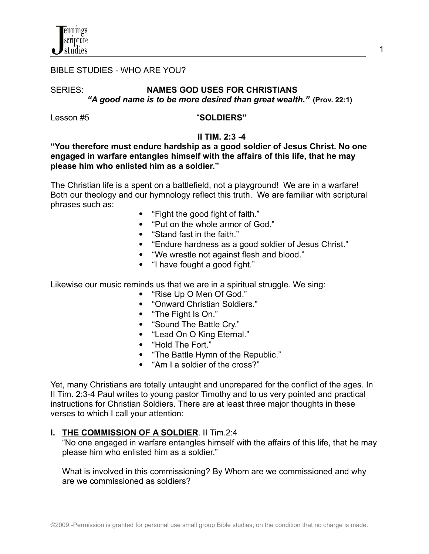

#### BIBLE STUDIES - WHO ARE YOU?

## SERIES: **NAMES GOD USES FOR CHRISTIANS** *"A good name is to be more desired than great wealth."* **(Prov. 22:1)**

# Lesson #5 "**SOLDIERS"**

## **II TIM. 2:3 -4**

# **"You therefore must endure hardship as a good soldier of Jesus Christ. No one engaged in warfare entangles himself with the affairs of this life, that he may please him who enlisted him as a soldier."**

The Christian life is a spent on a battlefield, not a playground! We are in a warfare! Both our theology and our hymnology reflect this truth. We are familiar with scriptural phrases such as:

- "Fight the good fight of faith."
- "Put on the whole armor of God."
- "Stand fast in the faith."
- "Endure hardness as a good soldier of Jesus Christ."
- "We wrestle not against flesh and blood."
- "I have fought a good fight."

Likewise our music reminds us that we are in a spiritual struggle. We sing:

- "Rise Up O Men Of God."
- "Onward Christian Soldiers."
- "The Fight Is On."
- "Sound The Battle Cry."
- "Lead On O King Eternal."
- "Hold The Fort."
- "The Battle Hymn of the Republic."
- "Am I a soldier of the cross?"

Yet, many Christians are totally untaught and unprepared for the conflict of the ages. In II Tim. 2:3-4 Paul writes to young pastor Timothy and to us very pointed and practical instructions for Christian Soldiers. There are at least three major thoughts in these verses to which I call your attention:

# **I. THE COMMISSION OF A SOLDIER**. II Tim.2:4

"No one engaged in warfare entangles himself with the affairs of this life, that he may please him who enlisted him as a soldier."

What is involved in this commissioning? By Whom are we commissioned and why are we commissioned as soldiers?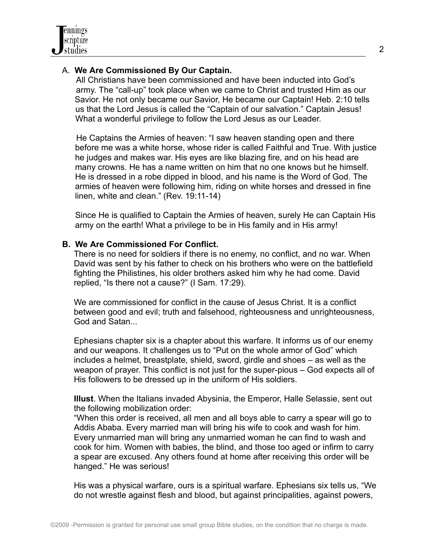

## A. **We Are Commissioned By Our Captain.**

All Christians have been commissioned and have been inducted into God's army. The "call-up" took place when we came to Christ and trusted Him as our Savior. He not only became our Savior, He became our Captain! Heb. 2:10 tells us that the Lord Jesus is called the "Captain of our salvation." Captain Jesus! What a wonderful privilege to follow the Lord Jesus as our Leader.

He Captains the Armies of heaven: "I saw heaven standing open and there before me was a white horse, whose rider is called Faithful and True. With justice he judges and makes war. His eyes are like blazing fire, and on his head are many crowns. He has a name written on him that no one knows but he himself. He is dressed in a robe dipped in blood, and his name is the Word of God. The armies of heaven were following him, riding on white horses and dressed in fine linen, white and clean." (Rev. 19:11-14)

Since He is qualified to Captain the Armies of heaven, surely He can Captain His army on the earth! What a privilege to be in His family and in His army!

#### **B. We Are Commissioned For Conflict.**

There is no need for soldiers if there is no enemy, no conflict, and no war. When David was sent by his father to check on his brothers who were on the battlefield fighting the Philistines, his older brothers asked him why he had come. David replied, "Is there not a cause?" (I Sam. 17:29).

We are commissioned for conflict in the cause of Jesus Christ. It is a conflict between good and evil; truth and falsehood, righteousness and unrighteousness, God and Satan...

Ephesians chapter six is a chapter about this warfare. It informs us of our enemy and our weapons. It challenges us to "Put on the whole armor of God" which includes a helmet, breastplate, shield, sword, girdle and shoes – as well as the weapon of prayer. This conflict is not just for the super-pious – God expects all of His followers to be dressed up in the uniform of His soldiers.

**Illust**. When the Italians invaded Abysinia, the Emperor, Halle Selassie, sent out the following mobilization order:

"When this order is received, all men and all boys able to carry a spear will go to Addis Ababa. Every married man will bring his wife to cook and wash for him. Every unmarried man will bring any unmarried woman he can find to wash and cook for him. Women with babies, the blind, and those too aged or infirm to carry a spear are excused. Any others found at home after receiving this order will be hanged." He was serious!

His was a physical warfare, ours is a spiritual warfare. Ephesians six tells us, "We do not wrestle against flesh and blood, but against principalities, against powers,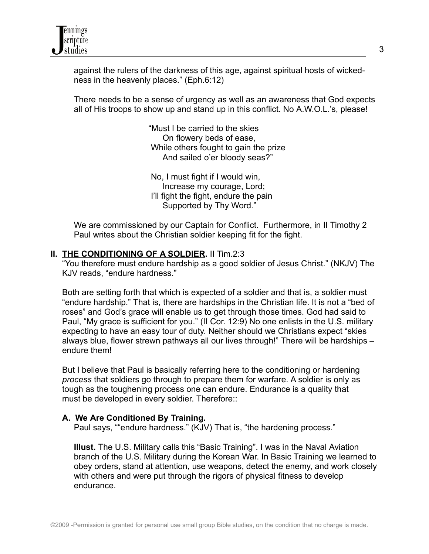against the rulers of the darkness of this age, against spiritual hosts of wickedness in the heavenly places." (Eph.6:12)

There needs to be a sense of urgency as well as an awareness that God expects all of His troops to show up and stand up in this conflict. No A.W.O.L.'s, please!

> "Must I be carried to the skies On flowery beds of ease, While others fought to gain the prize And sailed o'er bloody seas?"

No, I must fight if I would win, Increase my courage, Lord; I'll fight the fight, endure the pain Supported by Thy Word."

We are commissioned by our Captain for Conflict. Furthermore, in II Timothy 2 Paul writes about the Christian soldier keeping fit for the fight.

# **II. THE CONDITIONING OF A SOLDIER.** II Tim.2:3

"You therefore must endure hardship as a good soldier of Jesus Christ." (NKJV) The KJV reads, "endure hardness."

Both are setting forth that which is expected of a soldier and that is, a soldier must "endure hardship." That is, there are hardships in the Christian life. It is not a "bed of roses" and God's grace will enable us to get through those times. God had said to Paul, "My grace is sufficient for you." (II Cor. 12:9) No one enlists in the U.S. military expecting to have an easy tour of duty. Neither should we Christians expect "skies always blue, flower strewn pathways all our lives through!" There will be hardships – endure them!

But I believe that Paul is basically referring here to the conditioning or hardening *process* that soldiers go through to prepare them for warfare. A soldier is only as tough as the toughening process one can endure. Endurance is a quality that must be developed in every soldier. Therefore::

#### **A. We Are Conditioned By Training.**

Paul says, ""endure hardness." (KJV) That is, "the hardening process."

**Illust.** The U.S. Military calls this "Basic Training". I was in the Naval Aviation branch of the U.S. Military during the Korean War. In Basic Training we learned to obey orders, stand at attention, use weapons, detect the enemy, and work closely with others and were put through the rigors of physical fitness to develop endurance.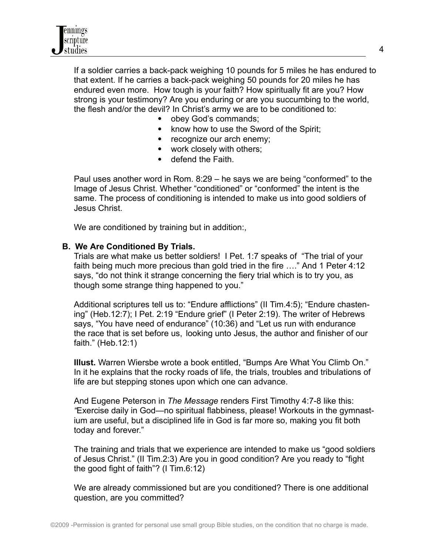

If a soldier carries a back-pack weighing 10 pounds for 5 miles he has endured to that extent. If he carries a back-pack weighing 50 pounds for 20 miles he has endured even more. How tough is your faith? How spiritually fit are you? How strong is your testimony? Are you enduring or are you succumbing to the world, the flesh and/or the devil? In Christ's army we are to be conditioned to:

- obey God's commands;
- know how to use the Sword of the Spirit;
- recognize our arch enemy;
- work closely with others;
- defend the Faith.

Paul uses another word in Rom. 8:29 – he says we are being "conformed" to the Image of Jesus Christ. Whether "conditioned" or "conformed" the intent is the same. The process of conditioning is intended to make us into good soldiers of Jesus Christ.

We are conditioned by training but in addition:,

#### **B. We Are Conditioned By Trials.**

Trials are what make us better soldiers! I Pet. 1:7 speaks of "The trial of your faith being much more precious than gold tried in the fire …." And 1 Peter 4:12 says, "do not think it strange concerning the fiery trial which is to try you, as though some strange thing happened to you."

Additional scriptures tell us to: "Endure afflictions" (II Tim.4:5); "Endure chastening" (Heb.12:7); I Pet. 2:19 "Endure grief" (I Peter 2:19). The writer of Hebrews says, "You have need of endurance" (10:36) and "Let us run with endurance the race that is set before us, looking unto Jesus, the author and finisher of our faith." (Heb.12:1)

**Illust.** Warren Wiersbe wrote a book entitled, "Bumps Are What You Climb On." In it he explains that the rocky roads of life, the trials, troubles and tribulations of life are but stepping stones upon which one can advance.

And Eugene Peterson in *The Message* renders First Timothy 4:7-8 like this: *"*Exercise daily in God—no spiritual flabbiness, please! Workouts in the gymnastium are useful, but a disciplined life in God is far more so, making you fit both today and forever."

The training and trials that we experience are intended to make us "good soldiers of Jesus Christ." (II Tim.2:3) Are you in good condition? Are you ready to "fight the good fight of faith"? (I Tim.6:12)

We are already commissioned but are you conditioned? There is one additional question, are you committed?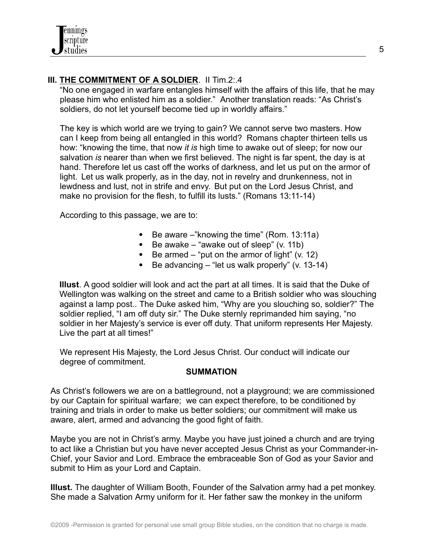

# **III. THE COMMITMENT OF A SOLDIER**. II Tim.2:.4

"No one engaged in warfare entangles himself with the affairs of this life, that he may please him who enlisted him as a soldier." Another translation reads: "As Christ's soldiers, do not let yourself become tied up in worldly affairs."

The key is which world are we trying to gain? We cannot serve two masters. How can I keep from being all entangled in this world? Romans chapter thirteen tells us how: "knowing the time, that now *it is* high time to awake out of sleep; for now our salvation *is* nearer than when we first believed. The night is far spent, the day is at hand. Therefore let us cast off the works of darkness, and let us put on the armor of light. Let us walk properly, as in the day, not in revelry and drunkenness, not in lewdness and lust, not in strife and envy. But put on the Lord Jesus Christ, and make no provision for the flesh, to fulfill its lusts." (Romans 13:11-14)

According to this passage, we are to:

- $\bullet$  Be aware –"knowing the time" (Rom. 13:11a)
- $\bullet$  Be awake "awake out of sleep" (v. 11b)
- Be armed  $-$  "put on the armor of light" (v. 12)
- Be advancing "let us walk properly" (v. 13-14)

**Illust**. A good soldier will look and act the part at all times. It is said that the Duke of Wellington was walking on the street and came to a British soldier who was slouching against a lamp post.. The Duke asked him, "Why are you slouching so, soldier?" The soldier replied, "I am off duty sir." The Duke sternly reprimanded him saying, "no soldier in her Majesty's service is ever off duty. That uniform represents Her Majesty. Live the part at all times!"

We represent His Majesty, the Lord Jesus Christ. Our conduct will indicate our degree of commitment.

#### **SUMMATION**

As Christ's followers we are on a battleground, not a playground; we are commissioned by our Captain for spiritual warfare; we can expect therefore, to be conditioned by training and trials in order to make us better soldiers; our commitment will make us aware, alert, armed and advancing the good fight of faith.

Maybe you are not in Christ's army. Maybe you have just joined a church and are trying to act like a Christian but you have never accepted Jesus Christ as your Commander-in-Chief, your Savior and Lord. Embrace the embraceable Son of God as your Savior and submit to Him as your Lord and Captain.

**Illust.** The daughter of William Booth, Founder of the Salvation army had a pet monkey. She made a Salvation Army uniform for it. Her father saw the monkey in the uniform